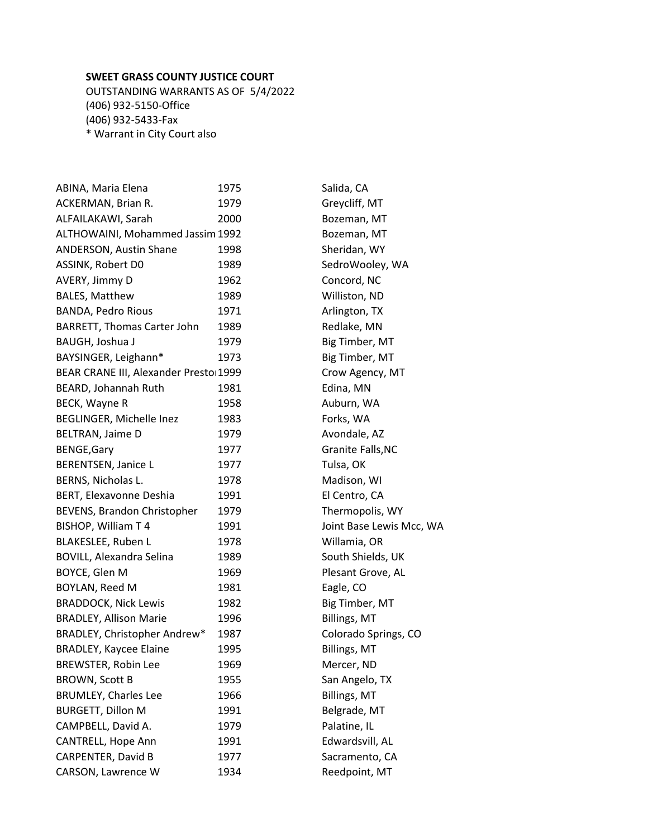## **SWEET GRASS COUNTY JUSTICE COURT**

OUTSTANDING WARRANTS AS OF 5/4/2022 (406) 932-5150-Office (406) 932-5433-Fax \* Warrant in City Court also

| ABINA, Maria Elena                    | 1975 | Salida, CA               |
|---------------------------------------|------|--------------------------|
| ACKERMAN, Brian R.                    | 1979 | Greycliff, MT            |
| ALFAILAKAWI, Sarah                    | 2000 | Bozeman, MT              |
| ALTHOWAINI, Mohammed Jassim 1992      |      | Bozeman, MT              |
| ANDERSON, Austin Shane                | 1998 | Sheridan, WY             |
| ASSINK, Robert D0                     | 1989 | SedroWooley, WA          |
| AVERY, Jimmy D                        | 1962 | Concord, NC              |
| <b>BALES, Matthew</b>                 | 1989 | Williston, ND            |
| BANDA, Pedro Rious                    | 1971 | Arlington, TX            |
| BARRETT, Thomas Carter John           | 1989 | Redlake, MN              |
| BAUGH, Joshua J                       | 1979 | Big Timber, MT           |
| BAYSINGER, Leighann*                  | 1973 | Big Timber, MT           |
| BEAR CRANE III, Alexander Presto 1999 |      | Crow Agency, MT          |
| BEARD, Johannah Ruth                  | 1981 | Edina, MN                |
| BECK, Wayne R                         | 1958 | Auburn, WA               |
| BEGLINGER, Michelle Inez              | 1983 | Forks, WA                |
| BELTRAN, Jaime D                      | 1979 | Avondale, AZ             |
| <b>BENGE, Gary</b>                    | 1977 | Granite Falls, NC        |
| BERENTSEN, Janice L                   | 1977 | Tulsa, OK                |
| BERNS, Nicholas L.                    | 1978 | Madison, WI              |
| BERT, Elexavonne Deshia               | 1991 | El Centro, CA            |
| BEVENS, Brandon Christopher           | 1979 | Thermopolis, WY          |
| BISHOP, William T 4                   | 1991 | Joint Base Lewis Mcc, WA |
| BLAKESLEE, Ruben L                    | 1978 | Willamia, OR             |
| <b>BOVILL, Alexandra Selina</b>       | 1989 | South Shields, UK        |
| BOYCE, Glen M                         | 1969 | Plesant Grove, AL        |
| BOYLAN, Reed M                        | 1981 | Eagle, CO                |
| <b>BRADDOCK, Nick Lewis</b>           | 1982 | Big Timber, MT           |
| <b>BRADLEY, Allison Marie</b>         | 1996 | Billings, MT             |
| BRADLEY, Christopher Andrew*          | 1987 | Colorado Springs, CO     |
| <b>BRADLEY, Kaycee Elaine</b>         | 1995 | Billings, MT             |
| BREWSTER, Robin Lee                   | 1969 | Mercer, ND               |
| <b>BROWN, Scott B</b>                 | 1955 | San Angelo, TX           |
| <b>BRUMLEY, Charles Lee</b>           | 1966 | Billings, MT             |
| <b>BURGETT, Dillon M</b>              | 1991 | Belgrade, MT             |
| CAMPBELL, David A.                    | 1979 | Palatine, IL             |
| CANTRELL, Hope Ann                    | 1991 | Edwardsvill, AL          |
| <b>CARPENTER, David B</b>             | 1977 | Sacramento, CA           |
| CARSON, Lawrence W                    | 1934 | Reedpoint, MT            |
|                                       |      |                          |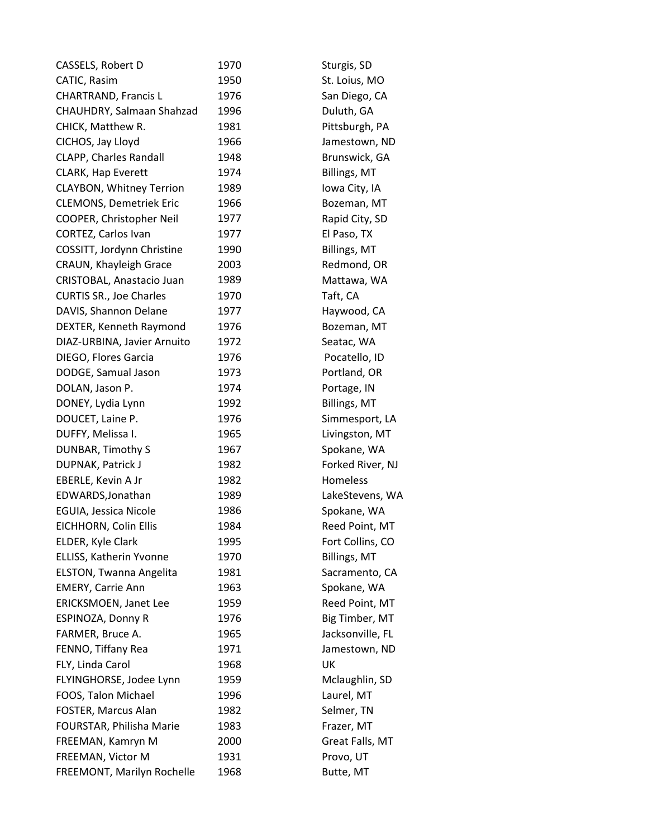| CASSELS, Robert D               | 1970 | Sturgis, SD      |
|---------------------------------|------|------------------|
| CATIC, Rasim                    | 1950 | St. Loius, MO    |
| <b>CHARTRAND, Francis L</b>     | 1976 | San Diego, CA    |
| CHAUHDRY, Salmaan Shahzad       | 1996 | Duluth, GA       |
| CHICK, Matthew R.               | 1981 | Pittsburgh, PA   |
| CICHOS, Jay Lloyd               | 1966 | Jamestown, ND    |
| <b>CLAPP, Charles Randall</b>   | 1948 | Brunswick, GA    |
| <b>CLARK, Hap Everett</b>       | 1974 | Billings, MT     |
| <b>CLAYBON, Whitney Terrion</b> | 1989 | Iowa City, IA    |
| <b>CLEMONS, Demetriek Eric</b>  | 1966 | Bozeman, MT      |
| COOPER, Christopher Neil        | 1977 | Rapid City, SD   |
| CORTEZ, Carlos Ivan             | 1977 | El Paso, TX      |
| COSSITT, Jordynn Christine      | 1990 | Billings, MT     |
| CRAUN, Khayleigh Grace          | 2003 | Redmond, OR      |
| CRISTOBAL, Anastacio Juan       | 1989 | Mattawa, WA      |
| <b>CURTIS SR., Joe Charles</b>  | 1970 | Taft, CA         |
| DAVIS, Shannon Delane           | 1977 | Haywood, CA      |
| DEXTER, Kenneth Raymond         | 1976 | Bozeman, MT      |
| DIAZ-URBINA, Javier Arnuito     | 1972 | Seatac, WA       |
| DIEGO, Flores Garcia            | 1976 | Pocatello, ID    |
| DODGE, Samual Jason             | 1973 | Portland, OR     |
| DOLAN, Jason P.                 | 1974 | Portage, IN      |
| DONEY, Lydia Lynn               | 1992 | Billings, MT     |
| DOUCET, Laine P.                | 1976 | Simmesport, LA   |
| DUFFY, Melissa I.               | 1965 | Livingston, MT   |
| DUNBAR, Timothy S               | 1967 | Spokane, WA      |
| DUPNAK, Patrick J               | 1982 | Forked River, NJ |
| EBERLE, Kevin A Jr              | 1982 | Homeless         |
| EDWARDS, Jonathan               | 1989 | LakeStevens, WA  |
| EGUIA, Jessica Nicole           | 1986 | Spokane, WA      |
| EICHHORN, Colin Ellis           | 1984 | Reed Point, MT   |
| ELDER, Kyle Clark               | 1995 | Fort Collins, CO |
| ELLISS, Katherin Yvonne         | 1970 | Billings, MT     |
| ELSTON, Twanna Angelita         | 1981 | Sacramento, CA   |
| <b>EMERY, Carrie Ann</b>        | 1963 | Spokane, WA      |
| <b>ERICKSMOEN, Janet Lee</b>    | 1959 | Reed Point, MT   |
| ESPINOZA, Donny R               | 1976 | Big Timber, MT   |
| FARMER, Bruce A.                | 1965 | Jacksonville, FL |
| FENNO, Tiffany Rea              | 1971 | Jamestown, ND    |
| FLY, Linda Carol                | 1968 | UK               |
| FLYINGHORSE, Jodee Lynn         | 1959 | Mclaughlin, SD   |
| FOOS, Talon Michael             | 1996 | Laurel, MT       |
| FOSTER, Marcus Alan             | 1982 | Selmer, TN       |
| FOURSTAR, Philisha Marie        | 1983 | Frazer, MT       |
| FREEMAN, Kamryn M               | 2000 | Great Falls, MT  |
| FREEMAN, Victor M               | 1931 | Provo, UT        |
| FREEMONT, Marilyn Rochelle      | 1968 | Butte, MT        |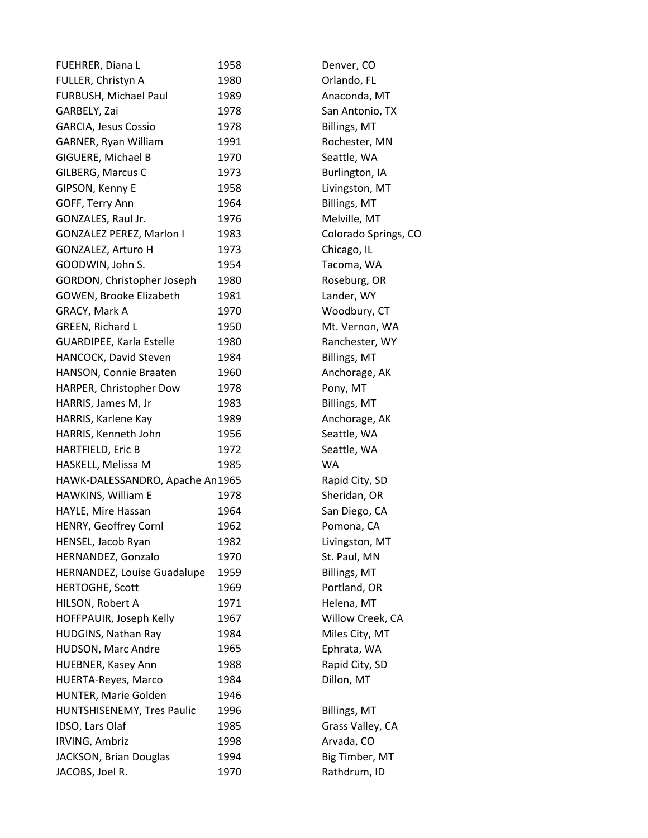| FUEHRER, Diana L                 | 1958 | Denver, CO           |
|----------------------------------|------|----------------------|
| FULLER, Christyn A               | 1980 | Orlando, FL          |
| FURBUSH, Michael Paul            | 1989 | Anaconda, MT         |
| GARBELY, Zai                     | 1978 | San Antonio, TX      |
| <b>GARCIA, Jesus Cossio</b>      | 1978 | Billings, MT         |
| GARNER, Ryan William             | 1991 | Rochester, MN        |
| GIGUERE, Michael B               | 1970 | Seattle, WA          |
| GILBERG, Marcus C                | 1973 | Burlington, IA       |
| GIPSON, Kenny E                  | 1958 | Livingston, MT       |
| GOFF, Terry Ann                  | 1964 | Billings, MT         |
| GONZALES, Raul Jr.               | 1976 | Melville, MT         |
| <b>GONZALEZ PEREZ, Marlon I</b>  | 1983 | Colorado Springs, CO |
| GONZALEZ, Arturo H               | 1973 | Chicago, IL          |
| GOODWIN, John S.                 | 1954 | Tacoma, WA           |
| GORDON, Christopher Joseph       | 1980 | Roseburg, OR         |
| GOWEN, Brooke Elizabeth          | 1981 | Lander, WY           |
| GRACY, Mark A                    | 1970 | Woodbury, CT         |
| GREEN, Richard L                 | 1950 | Mt. Vernon, WA       |
| <b>GUARDIPEE, Karla Estelle</b>  | 1980 | Ranchester, WY       |
| HANCOCK, David Steven            | 1984 | Billings, MT         |
| HANSON, Connie Braaten           | 1960 | Anchorage, AK        |
| HARPER, Christopher Dow          | 1978 | Pony, MT             |
| HARRIS, James M, Jr              | 1983 | Billings, MT         |
| HARRIS, Karlene Kay              | 1989 | Anchorage, AK        |
| HARRIS, Kenneth John             | 1956 | Seattle, WA          |
| HARTFIELD, Eric B                | 1972 | Seattle, WA          |
| HASKELL, Melissa M               | 1985 | WA                   |
| HAWK-DALESSANDRO, Apache An 1965 |      | Rapid City, SD       |
| HAWKINS, William E               | 1978 | Sheridan, OR         |
| HAYLE, Mire Hassan               | 1964 | San Diego, CA        |
| HENRY, Geoffrey Cornl            | 1962 | Pomona, CA           |
| HENSEL, Jacob Ryan               | 1982 | Livingston, MT       |
| HERNANDEZ, Gonzalo               | 1970 | St. Paul, MN         |
| HERNANDEZ, Louise Guadalupe      | 1959 | Billings, MT         |
| <b>HERTOGHE, Scott</b>           | 1969 | Portland, OR         |
| HILSON, Robert A                 | 1971 | Helena, MT           |
| HOFFPAUIR, Joseph Kelly          | 1967 | Willow Creek, CA     |
| <b>HUDGINS, Nathan Ray</b>       | 1984 | Miles City, MT       |
| HUDSON, Marc Andre               | 1965 | Ephrata, WA          |
| HUEBNER, Kasey Ann               | 1988 | Rapid City, SD       |
| <b>HUERTA-Reyes, Marco</b>       | 1984 | Dillon, MT           |
| HUNTER, Marie Golden             | 1946 |                      |
| HUNTSHISENEMY, Tres Paulic       | 1996 | Billings, MT         |
| IDSO, Lars Olaf                  | 1985 | Grass Valley, CA     |
| <b>IRVING, Ambriz</b>            | 1998 | Arvada, CO           |
| JACKSON, Brian Douglas           | 1994 | Big Timber, MT       |
| JACOBS, Joel R.                  | 1970 | Rathdrum, ID         |
|                                  |      |                      |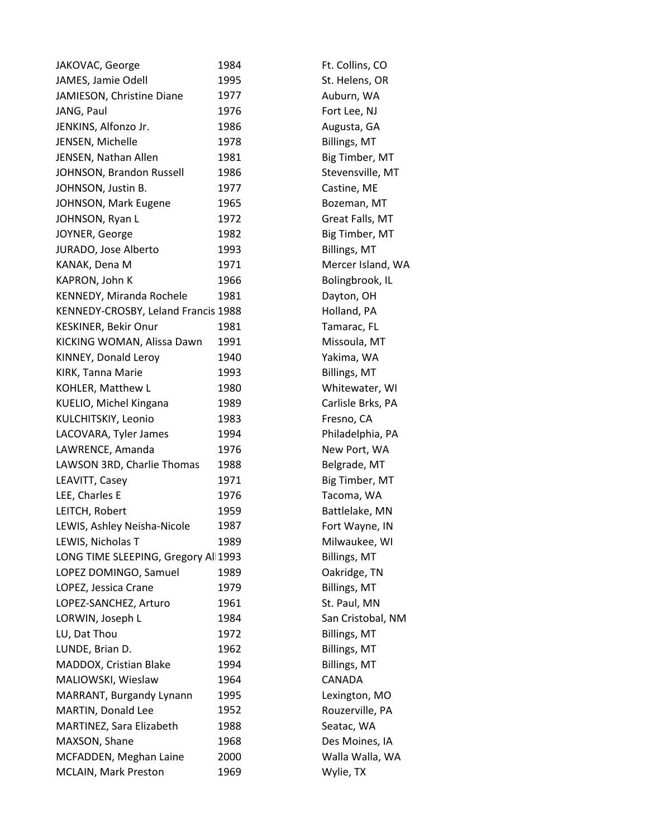| JAKOVAC, George                      | 1984 | Ft. Collins, CO   |
|--------------------------------------|------|-------------------|
| JAMES, Jamie Odell                   | 1995 | St. Helens, OR    |
| JAMIESON, Christine Diane            | 1977 | Auburn, WA        |
| JANG, Paul                           | 1976 | Fort Lee, NJ      |
| JENKINS, Alfonzo Jr.                 | 1986 | Augusta, GA       |
| JENSEN, Michelle                     | 1978 | Billings, MT      |
| JENSEN, Nathan Allen                 | 1981 | Big Timber, MT    |
| JOHNSON, Brandon Russell             | 1986 | Stevensville, MT  |
| JOHNSON, Justin B.                   | 1977 | Castine, ME       |
| JOHNSON, Mark Eugene                 | 1965 | Bozeman, MT       |
| JOHNSON, Ryan L                      | 1972 | Great Falls, MT   |
| JOYNER, George                       | 1982 | Big Timber, MT    |
| JURADO, Jose Alberto                 | 1993 | Billings, MT      |
| KANAK, Dena M                        | 1971 | Mercer Island, WA |
| KAPRON, John K                       | 1966 | Bolingbrook, IL   |
| KENNEDY, Miranda Rochele             | 1981 | Dayton, OH        |
| KENNEDY-CROSBY, Leland Francis 1988  |      | Holland, PA       |
| <b>KESKINER, Bekir Onur</b>          | 1981 | Tamarac, FL       |
| KICKING WOMAN, Alissa Dawn           | 1991 | Missoula, MT      |
| KINNEY, Donald Leroy                 | 1940 | Yakima, WA        |
| KIRK, Tanna Marie                    | 1993 | Billings, MT      |
| KOHLER, Matthew L                    | 1980 | Whitewater, WI    |
| KUELIO, Michel Kingana               | 1989 | Carlisle Brks, PA |
| KULCHITSKIY, Leonio                  | 1983 | Fresno, CA        |
| LACOVARA, Tyler James                | 1994 | Philadelphia, PA  |
| LAWRENCE, Amanda                     | 1976 | New Port, WA      |
| LAWSON 3RD, Charlie Thomas           | 1988 | Belgrade, MT      |
| LEAVITT, Casey                       | 1971 | Big Timber, MT    |
| LEE, Charles E                       | 1976 | Tacoma, WA        |
| LEITCH, Robert                       | 1959 | Battlelake, MN    |
| LEWIS, Ashley Neisha-Nicole          | 1987 | Fort Wayne, IN    |
| LEWIS, Nicholas T                    | 1989 | Milwaukee, WI     |
| LONG TIME SLEEPING, Gregory All 1993 |      | Billings, MT      |
| LOPEZ DOMINGO, Samuel                | 1989 | Oakridge, TN      |
| LOPEZ, Jessica Crane                 | 1979 | Billings, MT      |
| LOPEZ-SANCHEZ, Arturo                | 1961 | St. Paul, MN      |
| LORWIN, Joseph L                     | 1984 | San Cristobal, NM |
| LU, Dat Thou                         | 1972 | Billings, MT      |
| LUNDE, Brian D.                      | 1962 | Billings, MT      |
| MADDOX, Cristian Blake               | 1994 | Billings, MT      |
| MALIOWSKI, Wieslaw                   | 1964 | CANADA            |
| MARRANT, Burgandy Lynann             | 1995 | Lexington, MO     |
| MARTIN, Donald Lee                   | 1952 | Rouzerville, PA   |
| MARTINEZ, Sara Elizabeth             | 1988 | Seatac, WA        |
| MAXSON, Shane                        | 1968 | Des Moines, IA    |
| MCFADDEN, Meghan Laine               | 2000 | Walla Walla, WA   |
| MCLAIN, Mark Preston                 | 1969 | Wylie, TX         |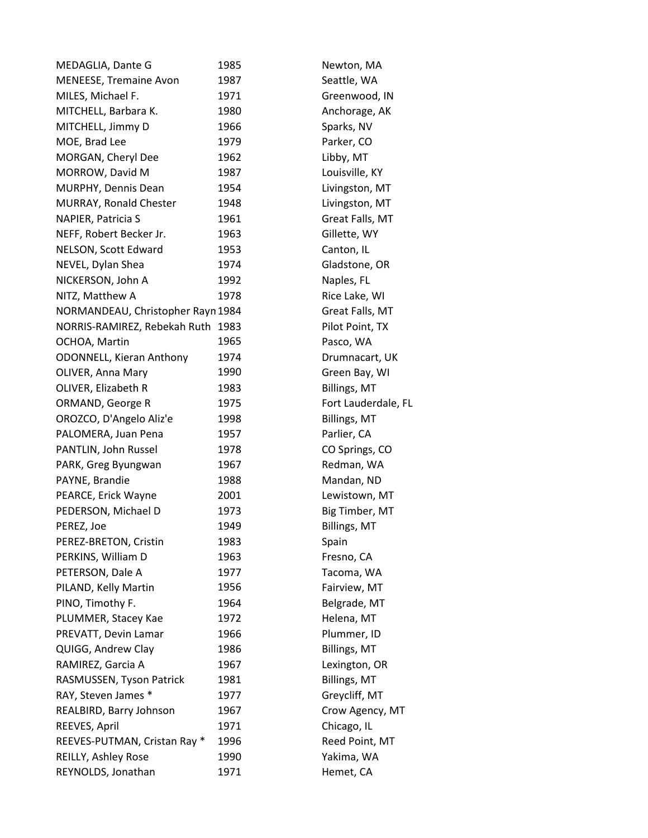| MEDAGLIA, Dante G                 | 1985 | Newton, MA          |
|-----------------------------------|------|---------------------|
| MENEESE, Tremaine Avon            | 1987 | Seattle, WA         |
| MILES, Michael F.                 | 1971 | Greenwood, IN       |
| MITCHELL, Barbara K.              | 1980 | Anchorage, AK       |
| MITCHELL, Jimmy D                 | 1966 | Sparks, NV          |
| MOE, Brad Lee                     | 1979 | Parker, CO          |
| MORGAN, Cheryl Dee                | 1962 | Libby, MT           |
| MORROW, David M                   | 1987 | Louisville, KY      |
| MURPHY, Dennis Dean               | 1954 | Livingston, MT      |
| MURRAY, Ronald Chester            | 1948 | Livingston, MT      |
| NAPIER, Patricia S                | 1961 | Great Falls, MT     |
| NEFF, Robert Becker Jr.           | 1963 | Gillette, WY        |
| NELSON, Scott Edward              | 1953 | Canton, IL          |
| NEVEL, Dylan Shea                 | 1974 | Gladstone, OR       |
| NICKERSON, John A                 | 1992 | Naples, FL          |
| NITZ, Matthew A                   | 1978 | Rice Lake, WI       |
| NORMANDEAU, Christopher Rayn 1984 |      | Great Falls, MT     |
| NORRIS-RAMIREZ, Rebekah Ruth 1983 |      | Pilot Point, TX     |
| OCHOA, Martin                     | 1965 | Pasco, WA           |
| <b>ODONNELL, Kieran Anthony</b>   | 1974 | Drumnacart, UK      |
| OLIVER, Anna Mary                 | 1990 | Green Bay, WI       |
| OLIVER, Elizabeth R               | 1983 | <b>Billings, MT</b> |
| ORMAND, George R                  | 1975 | Fort Lauderdale, FL |
| OROZCO, D'Angelo Aliz'e           | 1998 | <b>Billings, MT</b> |
| PALOMERA, Juan Pena               | 1957 | Parlier, CA         |
| PANTLIN, John Russel              | 1978 | CO Springs, CO      |
| PARK, Greg Byungwan               | 1967 | Redman, WA          |
| PAYNE, Brandie                    | 1988 | Mandan, ND          |
| PEARCE, Erick Wayne               | 2001 | Lewistown, MT       |
| PEDERSON, Michael D               | 1973 | Big Timber, MT      |
| PEREZ, Joe                        | 1949 | Billings, MT        |
| PEREZ-BRETON, Cristin             | 1983 | Spain               |
| PERKINS, William D                | 1963 | Fresno, CA          |
| PETERSON, Dale A                  | 1977 | Tacoma, WA          |
| PILAND, Kelly Martin              | 1956 | Fairview, MT        |
| PINO, Timothy F.                  | 1964 | Belgrade, MT        |
| PLUMMER, Stacey Kae               | 1972 | Helena, MT          |
| PREVATT, Devin Lamar              | 1966 | Plummer, ID         |
| QUIGG, Andrew Clay                | 1986 | Billings, MT        |
| RAMIREZ, Garcia A                 | 1967 | Lexington, OR       |
| RASMUSSEN, Tyson Patrick          | 1981 | Billings, MT        |
| RAY, Steven James *               | 1977 | Greycliff, MT       |
| REALBIRD, Barry Johnson           | 1967 | Crow Agency, MT     |
| REEVES, April                     | 1971 | Chicago, IL         |
| REEVES-PUTMAN, Cristan Ray *      | 1996 | Reed Point, MT      |
| REILLY, Ashley Rose               | 1990 | Yakima, WA          |
| REYNOLDS, Jonathan                | 1971 | Hemet, CA           |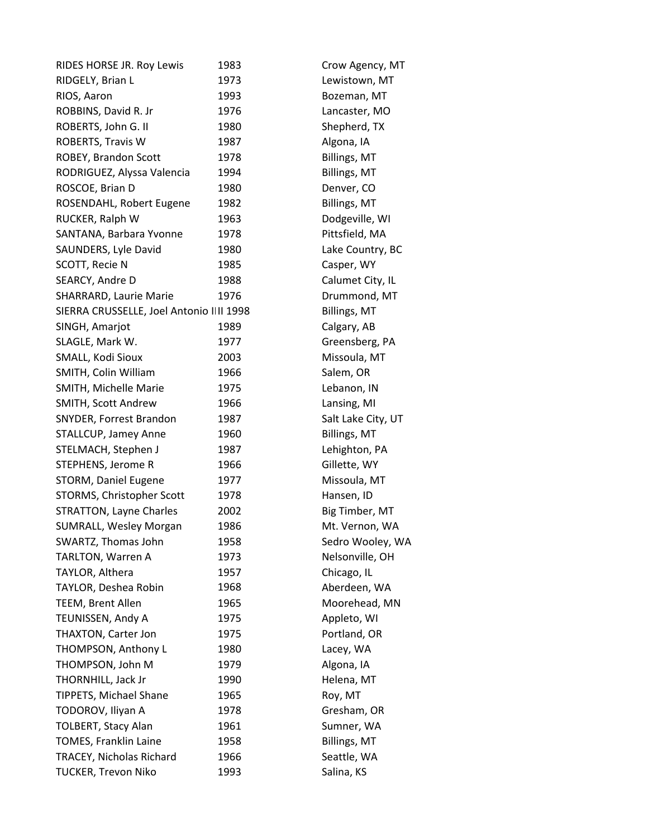| RIDES HORSE JR. Roy Lewis                | 1983 | Crow Agency, MT     |
|------------------------------------------|------|---------------------|
| RIDGELY, Brian L                         | 1973 | Lewistown, MT       |
| RIOS, Aaron                              | 1993 | Bozeman, MT         |
| ROBBINS, David R. Jr                     | 1976 | Lancaster, MO       |
| ROBERTS, John G. II                      | 1980 | Shepherd, TX        |
| ROBERTS, Travis W                        | 1987 | Algona, IA          |
| ROBEY, Brandon Scott                     | 1978 | Billings, MT        |
| RODRIGUEZ, Alyssa Valencia               | 1994 | Billings, MT        |
| ROSCOE, Brian D                          | 1980 | Denver, CO          |
| ROSENDAHL, Robert Eugene                 | 1982 | <b>Billings, MT</b> |
| RUCKER, Ralph W                          | 1963 | Dodgeville, WI      |
| SANTANA, Barbara Yvonne                  | 1978 | Pittsfield, MA      |
| SAUNDERS, Lyle David                     | 1980 | Lake Country, BC    |
| SCOTT, Recie N                           | 1985 | Casper, WY          |
| SEARCY, Andre D                          | 1988 | Calumet City, IL    |
| SHARRARD, Laurie Marie                   | 1976 | Drummond, MT        |
| SIERRA CRUSSELLE, Joel Antonio IIII 1998 |      | Billings, MT        |
| SINGH, Amarjot                           | 1989 | Calgary, AB         |
| SLAGLE, Mark W.                          | 1977 | Greensberg, PA      |
| SMALL, Kodi Sioux                        | 2003 | Missoula, MT        |
| SMITH, Colin William                     | 1966 | Salem, OR           |
| SMITH, Michelle Marie                    | 1975 | Lebanon, IN         |
| SMITH, Scott Andrew                      | 1966 | Lansing, MI         |
| SNYDER, Forrest Brandon                  | 1987 | Salt Lake City, UT  |
| STALLCUP, Jamey Anne                     | 1960 | <b>Billings, MT</b> |
| STELMACH, Stephen J                      | 1987 | Lehighton, PA       |
| STEPHENS, Jerome R                       | 1966 | Gillette, WY        |
| STORM, Daniel Eugene                     | 1977 | Missoula, MT        |
| STORMS, Christopher Scott                | 1978 | Hansen, ID          |
| <b>STRATTON, Layne Charles</b>           | 2002 | Big Timber, MT      |
| SUMRALL, Wesley Morgan                   | 1986 | Mt. Vernon, WA      |
| SWARTZ, Thomas John                      | 1958 | Sedro Wooley, WA    |
| TARLTON, Warren A                        | 1973 | Nelsonville, OH     |
| TAYLOR, Althera                          | 1957 | Chicago, IL         |
| TAYLOR, Deshea Robin                     | 1968 | Aberdeen, WA        |
| TEEM, Brent Allen                        | 1965 | Moorehead, MN       |
| TEUNISSEN, Andy A                        | 1975 | Appleto, WI         |
| THAXTON, Carter Jon                      | 1975 | Portland, OR        |
| THOMPSON, Anthony L                      | 1980 | Lacey, WA           |
| THOMPSON, John M                         | 1979 | Algona, IA          |
| THORNHILL, Jack Jr                       | 1990 | Helena, MT          |
| TIPPETS, Michael Shane                   | 1965 | Roy, MT             |
| TODOROV, Iliyan A                        | 1978 | Gresham, OR         |
| <b>TOLBERT, Stacy Alan</b>               | 1961 | Sumner, WA          |
| <b>TOMES, Franklin Laine</b>             | 1958 | Billings, MT        |
| TRACEY, Nicholas Richard                 | 1966 | Seattle, WA         |
| <b>TUCKER, Trevon Niko</b>               | 1993 | Salina, KS          |